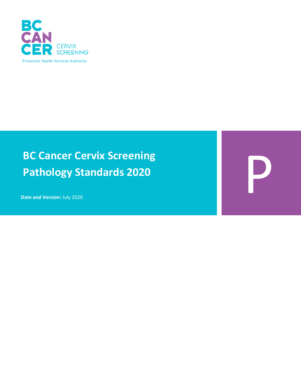

# **BC Cancer Cervix Screening Pathology Standards 2020**

**Date and Version:** July 2020

P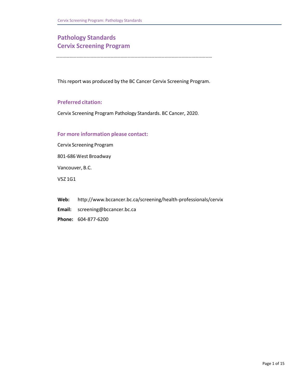# **Pathology Standards Cervix Screening Program**

…………………………………………………………………………………………………………………………

This report was produced by the BC Cancer Cervix Screening Program.

#### **Preferred citation:**

Cervix Screening Program Pathology Standards. BC Cancer, 2020.

#### **For more information please contact:**

Cervix Screening Program

801-686 West Broadway

Vancouver, B.C.

V5Z 1G1

- **Web:** http://www.bccancer.bc.ca/screening/health-professionals/cervix
- **Email:** [screening@bccancer.bc.ca](mailto:screening@bccancer.bc.ca)
- **Phone:** 604-877-6200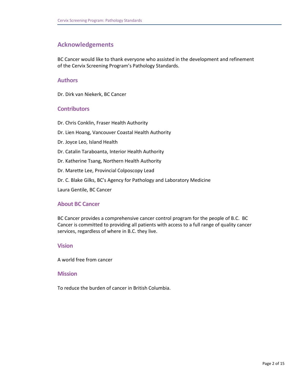# **Acknowledgements**

BC Cancer would like to thank everyone who assisted in the development and refinement of the Cervix Screening Program's Pathology Standards.

#### **Authors**

Dr. Dirk van Niekerk, BC Cancer

#### **Contributors**

- Dr. Chris Conklin, Fraser Health Authority
- Dr. Lien Hoang, Vancouver Coastal Health Authority
- Dr. Joyce Leo, Island Health
- Dr. Catalin Taraboanta, Interior Health Authority
- Dr. Katherine Tsang, Northern Health Authority
- Dr. Marette Lee, Provincial Colposcopy Lead
- Dr. C. Blake Gilks, BC's Agency for Pathology and Laboratory Medicine
- Laura Gentile, BC Cancer

#### **About BC Cancer**

BC Cancer provides a comprehensive cancer control program for the people of B.C. BC Cancer is committed to providing all patients with access to a full range of quality cancer services, regardless of where in B.C. they live.

#### **Vision**

A world free from cancer

#### **Mission**

To reduce the burden of cancer in British Columbia.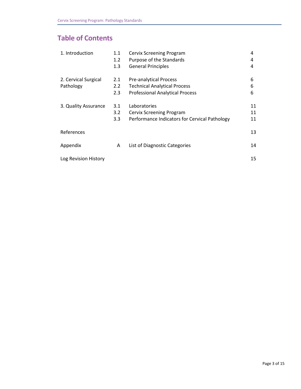# **Table of Contents**

| 1. Introduction      | 1.1     | Cervix Screening Program                      |    |
|----------------------|---------|-----------------------------------------------|----|
|                      | $1.2\,$ | Purpose of the Standards                      | 4  |
|                      | 1.3     | <b>General Principles</b>                     | 4  |
| 2. Cervical Surgical | 2.1     | <b>Pre-analytical Process</b>                 | 6  |
| Pathology            | 2.2     | <b>Technical Analytical Process</b>           | 6  |
|                      | 2.3     | <b>Professional Analytical Process</b>        | 6  |
| 3. Quality Assurance | 3.1     | Laboratories                                  | 11 |
|                      | 3.2     | Cervix Screening Program                      | 11 |
|                      | 3.3     | Performance Indicators for Cervical Pathology | 11 |
| References           |         |                                               | 13 |
| Appendix             | A       | List of Diagnostic Categories                 | 14 |
| Log Revision History |         |                                               | 15 |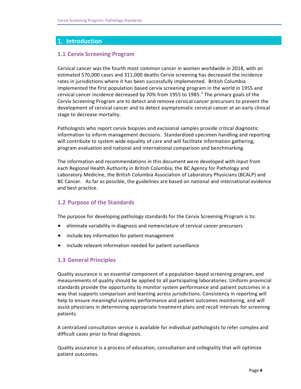# **1. Introduction**

### **1.1 Cervix Screening Program**

Cervical cancer was the fourth most common cancer in women worldwide in 2018, with an estimated 570,000 cases and 311,000 deaths Cervix screening has decreased the incidence rates in jurisdictions where it has been successfully implemented. British Columbia implemented the first population based cervix screening program in the world in 1955 and cervical cancer incidence decreased by 70% from 1955 to 1985. $^2$  The primary goals of the Cervix Screening Program are to detect and remove cervical cancer precursors to prevent the development of cervical cancer and to detect asymptomatic cervical cancer at an early clinical stage to decrease mortality.

Pathologists who report cervix biopsies and excisional samples provide critical diagnostic information to inform management decisions. Standardized specimen handling and reporting will contribute to system wide equality of care and will facilitate information gathering, program evaluation and national and international comparison and benchmarking.

The information and recommendations in this document were developed with input from each Regional Health Authority in British Columbia, the BC Agency for Pathology and Laboratory Medicine, the British Columbia Association of Laboratory Physicians (BCALP) and BC Cancer. As far as possible, the guidelines are based on national and international evidence and best practice.

# **1.2 Purpose of the Standards**

The purpose for developing pathology standards for the Cervix Screening Program is to:

- eliminate variability in diagnosis and nomenclature of cervical cancer precursors
- include key information for patient management
- include relevant information needed for patient surveillance

#### **1.3 General Principles**

Quality assurance is an essential component of a population-based screening program, and measurements of quality should be applied to all participating laboratories. Uniform provincial standards provide the opportunity to monitor system performance and patient outcomes in a way that supports comparison and learning across jurisdictions. Consistency in reporting will help to ensure meaningful systems performance and patient outcomes monitoring, and will assist physicians in determining appropriate treatment plans and recall intervals for screening patients.

A centralized consultation service is available for individual pathologists to refer complex and difficult cases prior to final diagnosis.

Quality assurance is a process of education, consultation and collegiality that will optimize patient outcomes.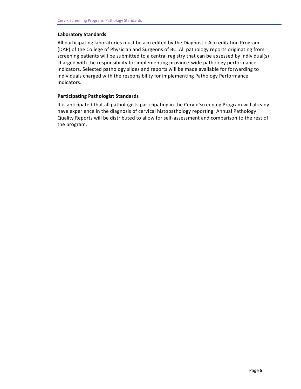#### **Laboratory Standards**

All participating laboratories must be accredited by the Diagnostic Accreditation Program (DAP) of the College of Physician and Surgeons of BC. All pathology reports originating from screening patients will be submitted to a central registry that can be assessed by individual(s) charged with the responsibility for implementing province-wide pathology performance indicators. Selected pathology slides and reports will be made available for forwarding to individuals charged with the responsibility for implementing Pathology Performance Indicators.

#### **Participating Pathologist Standards**

It is anticipated that all pathologists participating in the Cervix Screening Program will already have experience in the diagnosis of cervical histopathology reporting. Annual Pathology Quality Reports will be distributed to allow for self-assessment and comparison to the rest of the program.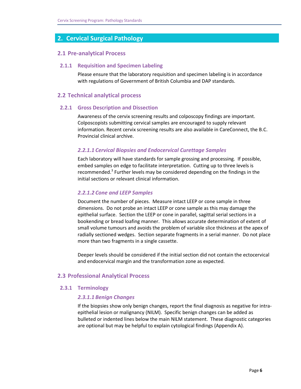# **2. Cervical Surgical Pathology**

#### **2.1 Pre-analytical Process**

#### **2.1.1 Requisition and Specimen Labeling**

Please ensure that the laboratory requisition and specimen labeling is in accordance with regulations of Government of British Columbia and DAP standards.

#### **2.2 Technical analytical process**

#### **2.2.1 Gross Description and Dissection**

Awareness of the cervix screening results and colposcopy findings are important. Colposcopists submitting cervical samples are encouraged to supply relevant information. Recent cervix screening results are also available in CareConnect, the B.C. Provincial clinical archive.

#### *2.2.1.1 Cervical Biopsies and Endocervical Curettage Samples*

Each laboratory will have standards for sample grossing and processing. If possible, embed samples on edge to facilitate interpretation. Cutting up to three levels is recommended.<sup>3</sup> Further levels may be considered depending on the findings in the initial sections or relevant clinical information.

#### *2.2.1.2 Cone and LEEP Samples*

Document the number of pieces. Measure intact LEEP or cone sample in three dimensions. Do not probe an intact LEEP or cone sample as this may damage the epithelial surface. Section the LEEP or cone in parallel, sagittal serial sections in a bookending or bread loafing manner. This allows accurate determination of extent of small volume tumours and avoids the problem of variable slice thickness at the apex of radially sectioned wedges. Section separate fragments in a serial manner. Do not place more than two fragments in a single cassette.

Deeper levels should be considered if the initial section did not contain the ectocervical and endocervical margin and the transformation zone as expected.

#### **2.3 Professional Analytical Process**

#### **2.3.1 Terminology**

#### *2.3.1.1 Benign Changes*

If the biopsies show only benign changes, report the final diagnosis as negative for intraepithelial lesion or malignancy (NILM). Specific benign changes can be added as bulleted or indented lines below the main NILM statement. These diagnostic categories are optional but may be helpful to explain cytological findings (Appendix A).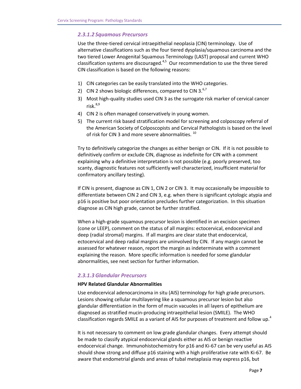#### *2.3.1.2 Squamous Precursors*

Use the three-tiered cervical intraepithelial neoplasia (CIN) terminology. Use of alternative classifications such as the four tiered dysplasia/squamous carcinoma and the two tiered Lower Anogenital Squamous Terminology (LAST) proposal and current WHO classification systems are discouraged. $4,5$  Our recommendation to use the three tiered CIN classification is based on the following reasons:

- 1) CIN categories can be easily translated into the WHO categories.
- 2) CIN 2 shows biologic differences, compared to CIN 3. $6,7$
- 3) Most high-quality studies used CIN 3 as the surrogate risk marker of cervical cancer risk. $8,9$
- 4) CIN 2 is often managed conservatively in young women.
- 5) The current risk based stratification model for screening and colposcopy referral of the American Society of Colposcopists and Cervical Pathologists is based on the level of risk for CIN 3 and more severe abnormalities.<sup>10</sup>

Try to definitively categorize the changes as either benign or CIN. If it is not possible to definitively confirm or exclude CIN, diagnose as indefinite for CIN with a comment explaining why a definitive interpretation is not possible (e.g. poorly preserved, too scanty, diagnostic features not sufficiently well characterized, insufficient material for confirmatory ancillary testing).

If CIN is present, diagnose as CIN 1, CIN 2 or CIN 3. It may occasionally be impossible to differentiate between CIN 2 and CIN 3, e.g. when there is significant cytologic atypia and p16 is positive but poor orientation precludes further categorization. In this situation diagnose as CIN high grade, cannot be further stratified.

When a high-grade squamous precursor lesion is identified in an excision specimen (cone or LEEP), comment on the status of all margins: ectocervical, endocervical and deep (radial stromal) margins. If all margins are clear state that endocervical, ectocervical and deep radial margins are uninvolved by CIN. If any margin cannot be assessed for whatever reason, report the margin as indeterminate with a comment explaining the reason. More specific information is needed for some glandular abnormalities, see next section for further information.

#### *2.3.1.3 Glandular Precursors*

#### **HPV Related Glandular Abnormalities**

Use endocervical adenocarcinoma in situ (AIS) terminology for high grade precursors. Lesions showing cellular multilayering like a squamous precursor lesion but also glandular differentiation in the form of mucin vacuoles in all layers of epithelium are diagnosed as stratified mucin-producing intraepithelial lesion (SMILE). The WHO classification regards SMILE as a variant of AIS for purposes of treatment and follow up.<sup>4</sup>

It is not necessary to comment on low grade glandular changes. Every attempt should be made to classify atypical endocervical glands either as AIS or benign reactive endocervical change. Immunohistochemistry for p16 and Ki-67 can be very useful as AIS should show strong and diffuse p16 staining with a high proliferative rate with Ki-67. Be aware that endometrial glands and areas of tubal metaplasia may express p16, but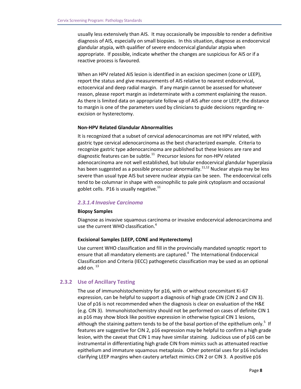usually less extensively than AIS. It may occasionally be impossible to render a definitive diagnosis of AIS, especially on small biopsies. In this situation, diagnose as endocervical glandular atypia, with qualifier of severe endocervical glandular atypia when appropriate. If possible, indicate whether the changes are suspicious for AIS or if a reactive process is favoured.

When an HPV related AIS lesion is identified in an excision specimen (cone or LEEP), report the status and give measurements of AIS relative to nearest endocervical, ectocervical and deep radial margin. If any margin cannot be assessed for whatever reason, please report margin as indeterminate with a comment explaining the reason. As there is limited data on appropriate follow up of AIS after cone or LEEP, the distance to margin is one of the parameters used by clinicians to guide decisions regarding reexcision or hysterectomy.

#### **Non-HPV Related Glandular Abnormalities**

It is recognized that a subset of cervical adenocarcinomas are not HPV related, with gastric type cervical adenocarcinoma as the best characterized example. Criteria to recognize gastric type adenocarcinoma are published but these lesions are rare and diagnostic features can be subtle.<sup>11</sup> Precursor lesions for non-HPV related adenocarcinoma are not well established, but lobular endocervical glandular hyperplasia has been suggested as a possible precursor abnormality.<sup>11,12</sup> Nuclear atypia may be less severe than usual type AIS but severe nuclear atypia can be seen. The endocervical cells tend to be columnar in shape with eosinophilic to pale pink cytoplasm and occasional goblet cells. P16 is usually negative. $^{11}$ 

#### *2.3.1.4 Invasive Carcinoma*

#### **Biopsy Samples**

Diagnose as invasive squamous carcinoma or invasive endocervical adenocarcinoma and use the current WHO classification.<sup>4</sup>

#### **Excisional Samples (LEEP, CONE and Hysterectomy)**

Use current WHO classification and fill in the provincially mandated synoptic report to ensure that all mandatory elements are captured. $4\,$  The International Endocervical Classification and Criteria (IECC) pathogenetic classification may be used as an optional add on.  $13$ 

#### **2.3.2 Use of Ancillary Testing**

The use of immunohistochemistry for p16, with or without concomitant Ki-67 expression, can be helpful to support a diagnosis of high grade CIN (CIN 2 and CIN 3). Use of p16 is not recommended when the diagnosis is clear on evaluation of the H&E (e.g. CIN 3). Immunohistochemistry should not be performed on cases of definite CIN 1 as p16 may show block like positive expression in otherwise typical CIN 1 lesions, although the staining pattern tends to be of the basal portion of the epithelium only.<sup>5</sup> If features are suggestive for CIN 2, p16 expression may be helpful to confirm a high grade lesion, with the caveat that CIN 1 may have similar staining. Judicious use of p16 can be instrumental in differentiating high grade CIN from mimics such as attenuated reactive epithelium and immature squamous metaplasia. Other potential uses for p16 includes clarifying LEEP margins when cautery artefact mimics CIN 2 or CIN 3. A positive p16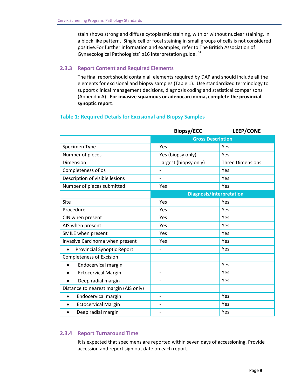stain shows strong and diffuse cytoplasmic staining, with or without nuclear staining, in a block like pattern. Single cell or focal staining in small groups of cells is not considered positive.For further information and examples, refer to The British Association of Gynaecological Pathologists' p16 interpretation guide. <sup>14</sup>

# **2.3.3 Report Content and Required Elements**

The final report should contain all elements required by DAP and should include all the elements for excisional and biopsy samples (Table 1). Use standardized terminology to support clinical management decisions, diagnosis coding and statistical comparisons (Appendix A). **For invasive squamous or adenocarcinoma, complete the provincial synoptic report**.

## **Table 1: Required Details for Excisional and Biopsy Samples**

|                                                | <b>Biopsy/ECC</b>               | LEEP/CONE               |  |
|------------------------------------------------|---------------------------------|-------------------------|--|
|                                                | <b>Gross Description</b>        |                         |  |
| Specimen Type                                  | Yes                             | Yes                     |  |
| Number of pieces                               | Yes (biopsy only)               | Yes                     |  |
| Dimension                                      | Largest (biopsy only)           | <b>Three Dimensions</b> |  |
| Completeness of os                             | $\qquad \qquad -$               | Yes                     |  |
| Description of visible lesions                 | $\overline{\phantom{0}}$        | Yes                     |  |
| Number of pieces submitted                     | Yes                             | Yes                     |  |
|                                                | <b>Diagnosis/Interpretation</b> |                         |  |
| Site                                           | Yes                             | Yes                     |  |
| Procedure                                      | Yes                             | Yes                     |  |
| CIN when present                               | Yes                             | Yes                     |  |
| AIS when present                               | Yes                             | Yes                     |  |
| SMILE when present                             | Yes                             | Yes                     |  |
| Invasive Carcinoma when present                | Yes                             | Yes                     |  |
| <b>Provincial Synoptic Report</b><br>$\bullet$ | $\overline{\phantom{0}}$        | Yes                     |  |
| <b>Completeness of Excision</b>                |                                 |                         |  |
| <b>Endocervical margin</b><br>$\bullet$        | $\overline{\phantom{a}}$        | Yes                     |  |
| <b>Ectocervical Margin</b><br>$\bullet$        | $\overline{\phantom{0}}$        | Yes                     |  |
| Deep radial margin<br>$\bullet$                |                                 | Yes                     |  |
| Distance to nearest margin (AIS only)          |                                 |                         |  |
| Endocervical margin<br>$\bullet$               | $\qquad \qquad -$               | Yes                     |  |
| <b>Ectocervical Margin</b><br>$\bullet$        | $\overline{\phantom{0}}$        | Yes                     |  |
| Deep radial margin<br>$\bullet$                |                                 | Yes                     |  |

#### **2.3.4 Report Turnaround Time**

It is expected that specimens are reported within seven days of accessioning. Provide accession and report sign out date on each report.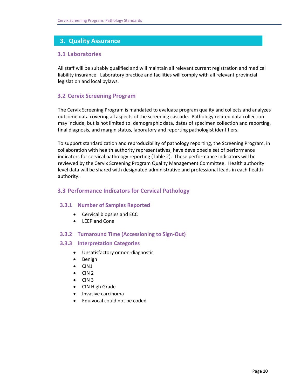# **3. Quality Assurance**

#### **3.1 Laboratories**

All staff will be suitably qualified and will maintain all relevant current registration and medical liability insurance. Laboratory practice and facilities will comply with all relevant provincial legislation and local bylaws.

## **3.2 Cervix Screening Program**

The Cervix Screening Program is mandated to evaluate program quality and collects and analyzes outcome data covering all aspects of the screening cascade. Pathology related data collection may include, but is not limited to: demographic data, dates of specimen collection and reporting, final diagnosis, and margin status, laboratory and reporting pathologist identifiers.

To support standardization and reproducibility of pathology reporting, the Screening Program, in collaboration with health authority representatives, have developed a set of performance indicators for cervical pathology reporting (Table 2). These performance indicators will be reviewed by the Cervix Screening Program Quality Management Committee. Health authority level data will be shared with designated administrative and professional leads in each health authority.

## **3.3 Performance Indicators for Cervical Pathology**

#### **3.3.1 Number of Samples Reported**

- Cervical biopsies and ECC
- LEEP and Cone

#### **3.3.2 Turnaround Time (Accessioning to Sign-Out)**

#### **3.3.3 Interpretation Categories**

- Unsatisfactory or non-diagnostic
- Benign
- $\bullet$  CIN1
- $\bullet$  CIN 2
- CIN 3
- CIN High Grade
- Invasive carcinoma
- Equivocal could not be coded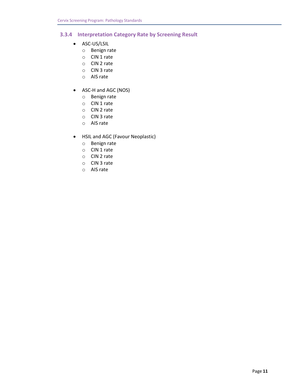#### **3.3.4 Interpretation Category Rate by Screening Result**

- ASC-US/LSIL
	- o Benign rate
	- o CIN 1 rate
	- o CIN 2 rate
	- o CIN 3 rate
	- o AIS rate
- ASC-H and AGC (NOS)
	- o Benign rate
	- o CIN 1 rate
	- o CIN 2 rate
	- o CIN 3 rate
	- o AIS rate
- HSIL and AGC (Favour Neoplastic)
	- o Benign rate
	- o CIN 1 rate
	- o CIN 2 rate
	- o CIN 3 rate
	- o AIS rate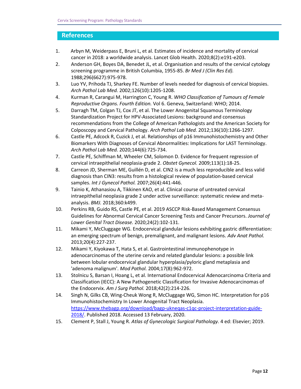# **References**

- 1. Arbyn M, Weiderpass E, Bruni L, et al. Estimates of incidence and mortality of cervical cancer in 2018: a worldwide analysis. Lancet Glob Health. 2020;8(2):e191-e203.
- 2. Anderson GH, Boyes DA, Benedet JL, et al. Organisation and results of the cervical cytology screening programme in British Columbia, 1955-85. *Br Med J (Clin Res Ed).*  1988;296(6627):975-978.
- 3. Luo YV, Prihoda TJ, Sharkey FE. Number of levels needed for diagnosis of cervical biopsies. *Arch Pathol Lab Med.* 2002;126(10):1205-1208.
- 4. Kurman R, Carangui M, Harrington C, Young R. *WHO Classification of Tumours of Female Reproductive Organs. Fourth Edition.* Vol 6. Geneva, Switzerland: WHO; 2014.
- 5. Darragh TM, Colgan TJ, Cox JT, et al. The Lower Anogenital Squamous Terminology Standardization Project for HPV-Associated Lesions: background and consensus recommendations from the College of American Pathologists and the American Society for Colposcopy and Cervical Pathology. *Arch Pathol Lab Med.* 2012;136(10):1266-1297.
- 6. Castle PE, Adcock R, Cuzick J, et al. Relationships of p16 Immunohistochemistry and Other Biomarkers With Diagnoses of Cervical Abnormalities: Implications for LAST Terminology. *Arch Pathol Lab Med.* 2020;144(6):725-734.
- 7. Castle PE, Schiffman M, Wheeler CM, Solomon D. Evidence for frequent regression of cervical intraepithelial neoplasia-grade 2. *Obstet Gynecol.* 2009;113(1):18-25.
- 8. Carreon JD, Sherman ME, Guillén D, et al. CIN2 is a much less reproducible and less valid diagnosis than CIN3: results from a histological review of population-based cervical samples. *Int J Gynecol Pathol.* 2007;26(4):441-446.
- 9. Tainio K, Athanasiou A, Tikkinen KAO, et al. Clinical course of untreated cervical intraepithelial neoplasia grade 2 under active surveillance: systematic review and metaanalysis. *BMJ.* 2018;360:k499.
- 10. Perkins RB, Guido RS, Castle PE, et al. 2019 ASCCP Risk-Based Management Consensus Guidelines for Abnormal Cervical Cancer Screening Tests and Cancer Precursors. *Journal of Lower Genital Tract Disease.* 2020;24(2):102-131.
- 11. Mikami Y, McCluggage WG. Endocervical glandular lesions exhibiting gastric differentiation: an emerging spectrum of benign, premalignant, and malignant lesions. *Adv Anat Pathol.*  2013;20(4):227-237.
- 12. Mikami Y, Kiyokawa T, Hata S, et al. Gastrointestinal immunophenotype in adenocarcinomas of the uterine cervix and related glandular lesions: a possible link between lobular endocervical glandular hyperplasia/pyloric gland metaplasia and 'adenoma malignum'. *Mod Pathol.* 2004;17(8):962-972.
- 13. Stolnicu S, Barsan I, Hoang L, et al. International Endocervical Adenocarcinoma Criteria and Classification (IECC): A New Pathogenetic Classification for Invasive Adenocarcinomas of the Endocervix. *Am J Surg Pathol.* 2018;42(2):214-226.
- 14. Singh N, Gilks CB, Wing-Cheuk Wong R, McCluggage WG, Simon HC. Interpretation for p16 Immunohistochemistry In Lower Anogenital Tract Neoplasia. [https://www.thebagp.org/download/bagp-ukneqas-c1qc-project-interpretation-guide-](https://www.thebagp.org/download/bagp-ukneqas-c1qc-project-interpretation-guide-2018/)[2018/.](https://www.thebagp.org/download/bagp-ukneqas-c1qc-project-interpretation-guide-2018/) Published 2018. Accessed 13 February, 2020.
- 15. Clement P, Stall J, Young R. *Atlas of Gynecologic Surgical Pathology.* 4 ed: Elsevier; 2019.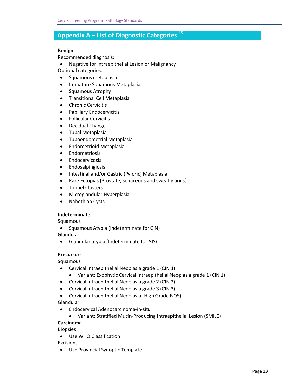# **Appendix A – List of Diagnostic Categories <sup>15</sup>**

#### **Benign**

Recommended diagnosis:

- Negative for Intraepithelial Lesion or Malignancy
- Optional categories:
- **•** Squamous metaplasia
- **•** Immature Squamous Metaplasia
- Squamous Atrophy
- **•** Transitional Cell Metaplasia
- Chronic Cervicitis
- Papillary Endocervicitis
- Follicular Cervicitis
- Decidual Change
- Tubal Metaplasia
- Tuboendometrial Metaplasia
- Endometrioid Metaplasia
- **•** Endometriosis
- **•** Endocervicosis
- **•** Endosalpingiosis
- Intestinal and/or Gastric (Pyloric) Metaplasia
- Rare Ectopias (Prostate, sebaceous and sweat glands)
- Tunnel Clusters
- Microglandular Hyperplasia
- Nabothian Cysts

#### **Indeterminate**

Squamous

• Squamous Atypia (Indeterminate for CIN)

Glandular

Glandular atypia (Indeterminate for AIS)

#### **Precursors**

Squamous

- Cervical Intraepithelial Neoplasia grade 1 (CIN 1)
	- Variant: Exophytic Cervical Intraepithelial Neoplasia grade 1 (CIN 1)
- Cervical Intraepithelial Neoplasia grade 2 (CIN 2)
- Cervical Intraepithelial Neoplasia grade 3 (CIN 3)
- Cervical Intraepithelial Neoplasia (High Grade NOS)

Glandular

- Endocervical Adenocarcinoma-in-situ
	- Variant: Stratified Mucin-Producing Intraepithelial Lesion (SMILE)

**Carcinoma**

Biopsies

Use WHO Classification

Excisions

Use Provincial Synoptic Template